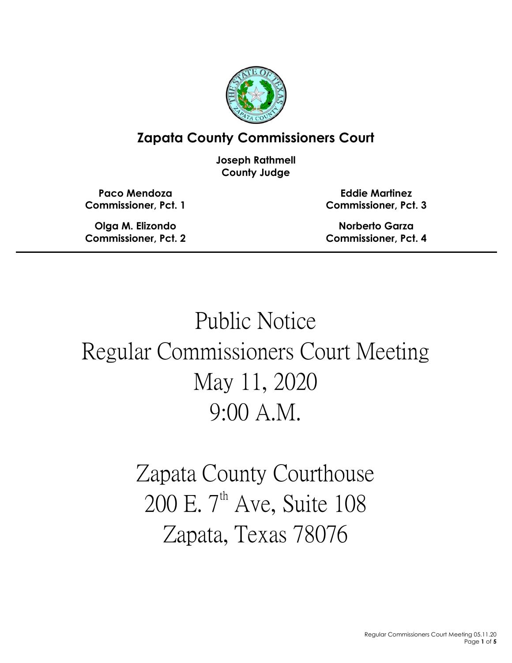

# **Zapata County Commissioners Court**

**Joseph Rathmell County Judge**

**Paco Mendoza Commissioner, Pct. 1**

**Olga M. Elizondo Commissioner, Pct. 2**

**Eddie Martinez Commissioner, Pct. 3**

**Norberto Garza Commissioner, Pct. 4**

# Public Notice Regular Commissioners Court Meeting May 11, 2020 9:00 A.M.

Zapata County Courthouse 200 E.  $7<sup>th</sup>$  Ave, Suite 108 Zapata, Texas 78076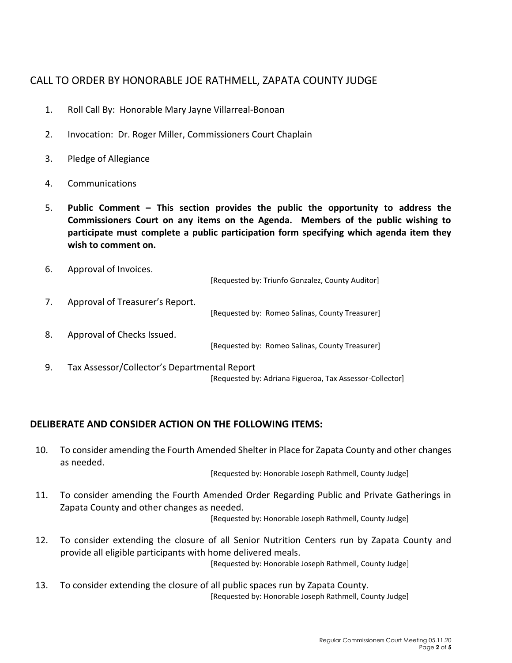# CALL TO ORDER BY HONORABLE JOE RATHMELL, ZAPATA COUNTY JUDGE

- 1. Roll Call By: Honorable Mary Jayne Villarreal-Bonoan
- 2. Invocation: Dr. Roger Miller, Commissioners Court Chaplain
- 3. Pledge of Allegiance
- 4. Communications
- 5. **Public Comment – This section provides the public the opportunity to address the Commissioners Court on any items on the Agenda. Members of the public wishing to participate must complete a public participation form specifying which agenda item they wish to comment on.**
- 6. Approval of Invoices. [Requested by: Triunfo Gonzalez, County Auditor] 7. Approval of Treasurer's Report. [Requested by: Romeo Salinas, County Treasurer] 8. Approval of Checks Issued. [Requested by: Romeo Salinas, County Treasurer] 9. Tax Assessor/Collector's Departmental Report [Requested by: Adriana Figueroa, Tax Assessor-Collector]

### **DELIBERATE AND CONSIDER ACTION ON THE FOLLOWING ITEMS:**

10. To consider amending the Fourth Amended Shelter in Place for Zapata County and other changes as needed.

[Requested by: Honorable Joseph Rathmell, County Judge]

11. To consider amending the Fourth Amended Order Regarding Public and Private Gatherings in Zapata County and other changes as needed.

[Requested by: Honorable Joseph Rathmell, County Judge]

- 12. To consider extending the closure of all Senior Nutrition Centers run by Zapata County and provide all eligible participants with home delivered meals. [Requested by: Honorable Joseph Rathmell, County Judge]
- 13. To consider extending the closure of all public spaces run by Zapata County. [Requested by: Honorable Joseph Rathmell, County Judge]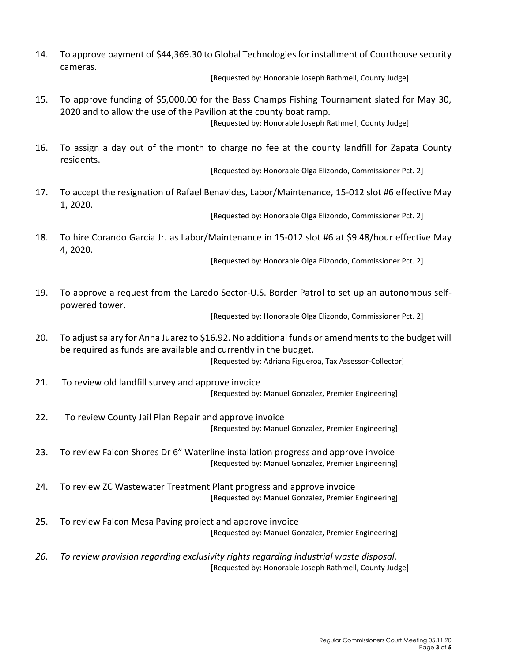14. To approve payment of \$44,369.30 to Global Technologies for installment of Courthouse security cameras.

[Requested by: Honorable Joseph Rathmell, County Judge]

- 15. To approve funding of \$5,000.00 for the Bass Champs Fishing Tournament slated for May 30, 2020 and to allow the use of the Pavilion at the county boat ramp. [Requested by: Honorable Joseph Rathmell, County Judge]
- 16. To assign a day out of the month to charge no fee at the county landfill for Zapata County residents.

[Requested by: Honorable Olga Elizondo, Commissioner Pct. 2]

17. To accept the resignation of Rafael Benavides, Labor/Maintenance, 15-012 slot #6 effective May 1, 2020.

[Requested by: Honorable Olga Elizondo, Commissioner Pct. 2]

18. To hire Corando Garcia Jr. as Labor/Maintenance in 15-012 slot #6 at \$9.48/hour effective May 4, 2020.

[Requested by: Honorable Olga Elizondo, Commissioner Pct. 2]

19. To approve a request from the Laredo Sector-U.S. Border Patrol to set up an autonomous selfpowered tower.

[Requested by: Honorable Olga Elizondo, Commissioner Pct. 2]

20. To adjust salary for Anna Juarez to \$16.92. No additional funds or amendments to the budget will be required as funds are available and currently in the budget.

[Requested by: Adriana Figueroa, Tax Assessor-Collector]

- 21. To review old landfill survey and approve invoice [Requested by: Manuel Gonzalez, Premier Engineering]
- 22. To review County Jail Plan Repair and approve invoice [Requested by: Manuel Gonzalez, Premier Engineering]
- 23. To review Falcon Shores Dr 6" Waterline installation progress and approve invoice [Requested by: Manuel Gonzalez, Premier Engineering]
- 24. To review ZC Wastewater Treatment Plant progress and approve invoice [Requested by: Manuel Gonzalez, Premier Engineering]
- 25. To review Falcon Mesa Paving project and approve invoice [Requested by: Manuel Gonzalez, Premier Engineering]
- *26. To review provision regarding exclusivity rights regarding industrial waste disposal.* [Requested by: Honorable Joseph Rathmell, County Judge]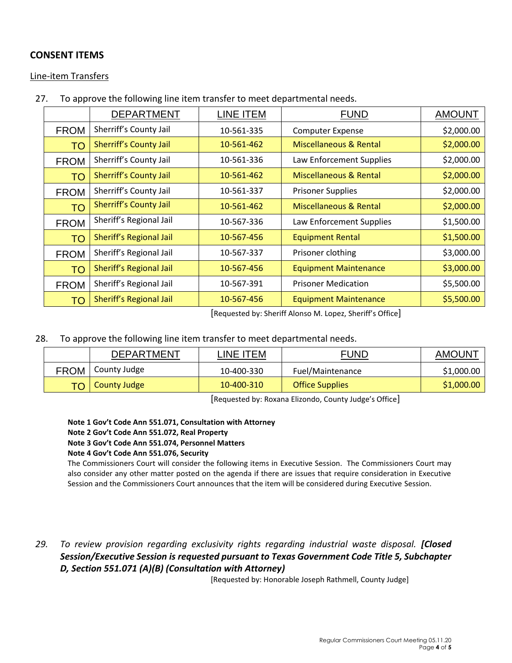# **CONSENT ITEMS**

Line-item Transfers

27. To approve the following line item transfer to meet departmental needs.

|             | <b>DEPARTMENT</b>             | LINE ITEM  | <b>FUND</b>                       | <b>AMOUNT</b> |
|-------------|-------------------------------|------------|-----------------------------------|---------------|
| <b>FROM</b> | Sherriff's County Jail        | 10-561-335 | <b>Computer Expense</b>           | \$2,000.00    |
| <b>TO</b>   | <b>Sherriff's County Jail</b> | 10-561-462 | <b>Miscellaneous &amp; Rental</b> | \$2,000.00    |
| <b>FROM</b> | Sherriff's County Jail        | 10-561-336 | Law Enforcement Supplies          | \$2,000.00    |
| <b>TO</b>   | <b>Sherriff's County Jail</b> | 10-561-462 | <b>Miscellaneous &amp; Rental</b> | \$2,000.00    |
| <b>FROM</b> | Sherriff's County Jail        | 10-561-337 | <b>Prisoner Supplies</b>          | \$2,000.00    |
| <b>TO</b>   | <b>Sherriff's County Jail</b> | 10-561-462 | <b>Miscellaneous &amp; Rental</b> | \$2,000.00    |
| <b>FROM</b> | Sheriff's Regional Jail       | 10-567-336 | Law Enforcement Supplies          | \$1,500.00    |
| TO          | Sheriff's Regional Jail       | 10-567-456 | <b>Equipment Rental</b>           | \$1,500.00    |
| <b>FROM</b> | Sheriff's Regional Jail       | 10-567-337 | Prisoner clothing                 | \$3,000.00    |
| <b>TO</b>   | Sheriff's Regional Jail       | 10-567-456 | <b>Equipment Maintenance</b>      | \$3,000.00    |
| <b>FROM</b> | Sheriff's Regional Jail       | 10-567-391 | <b>Prisoner Medication</b>        | \$5,500.00    |
| TO          | Sheriff's Regional Jail       | 10-567-456 | <b>Equipment Maintenance</b>      | \$5,500.00    |

[Requested by: Sheriff Alonso M. Lopez, Sheriff's Office]

28. To approve the following line item transfer to meet departmental needs.

|             | <b>DEPARTMENT</b> | LINE ITEM  | <b>FUND</b>            | <b>AMOUNT</b> |
|-------------|-------------------|------------|------------------------|---------------|
| <b>FROM</b> | County Judge      | 10-400-330 | Fuel/Maintenance       | \$1,000.00    |
|             | TO   County Judge | 10-400-310 | <b>Office Supplies</b> | \$1,000.00    |

[Requested by: Roxana Elizondo, County Judge's Office]

**Note 1 Gov't Code Ann 551.071, Consultation with Attorney Note 2 Gov't Code Ann 551.072, Real Property Note 3 Gov't Code Ann 551.074, Personnel Matters Note 4 Gov't Code Ann 551.076, Security**

The Commissioners Court will consider the following items in Executive Session. The Commissioners Court may also consider any other matter posted on the agenda if there are issues that require consideration in Executive Session and the Commissioners Court announces that the item will be considered during Executive Session.

*29. To review provision regarding exclusivity rights regarding industrial waste disposal. [Closed Session/Executive Session is requested pursuant to Texas Government Code Title 5, Subchapter D, Section 551.071 (A)(B) (Consultation with Attorney)*

[Requested by: Honorable Joseph Rathmell, County Judge]